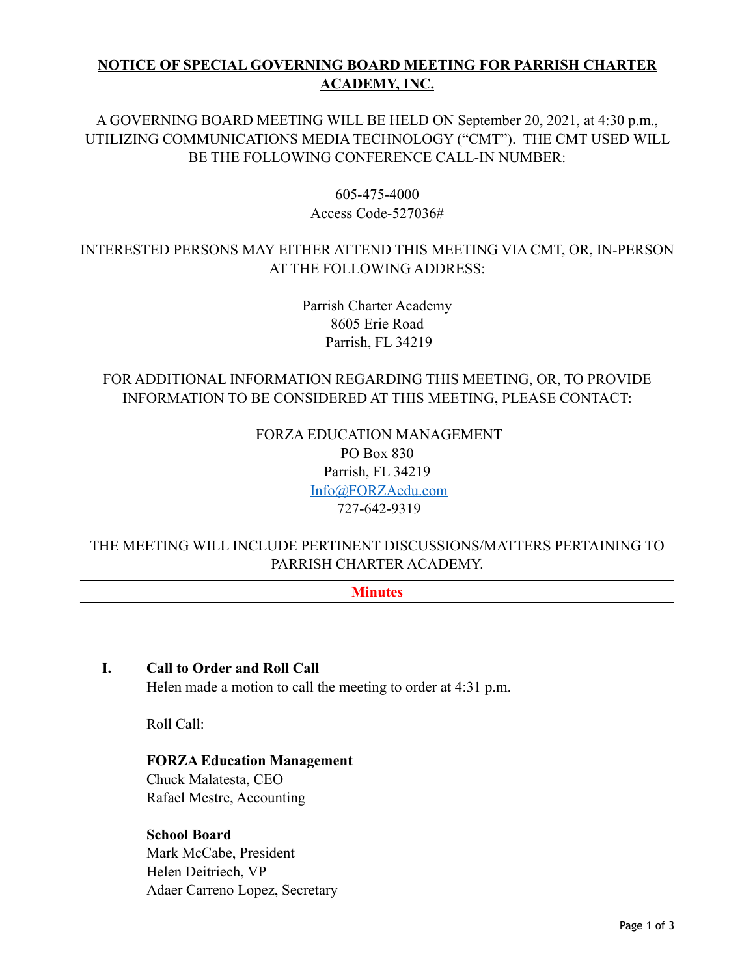# **NOTICE OF SPECIAL GOVERNING BOARD MEETING FOR PARRISH CHARTER ACADEMY, INC.**

A GOVERNING BOARD MEETING WILL BE HELD ON September 20, 2021, at 4:30 p.m., UTILIZING COMMUNICATIONS MEDIA TECHNOLOGY ("CMT"). THE CMT USED WILL BE THE FOLLOWING CONFERENCE CALL-IN NUMBER:

> 605-475-4000 Access Code-527036#

## INTERESTED PERSONS MAY EITHER ATTEND THIS MEETING VIA CMT, OR, IN-PERSON AT THE FOLLOWING ADDRESS:

Parrish Charter Academy 8605 Erie Road Parrish, FL 34219

# FOR ADDITIONAL INFORMATION REGARDING THIS MEETING, OR, TO PROVIDE INFORMATION TO BE CONSIDERED AT THIS MEETING, PLEASE CONTACT:

 FORZA EDUCATION MANAGEMENT PO Box 830 Parrish, FL 34219 [Info@FORZAedu.com](mailto:Info@FORZAedu.com) 727-642-9319

## THE MEETING WILL INCLUDE PERTINENT DISCUSSIONS/MATTERS PERTAINING TO PARRISH CHARTER ACADEMY.

#### **Minutes**

**I. Call to Order and Roll Call**

Helen made a motion to call the meeting to order at 4:31 p.m.

Roll Call:

## **FORZA Education Management** Chuck Malatesta, CEO Rafael Mestre, Accounting

**School Board** Mark McCabe, President Helen Deitriech, VP Adaer Carreno Lopez, Secretary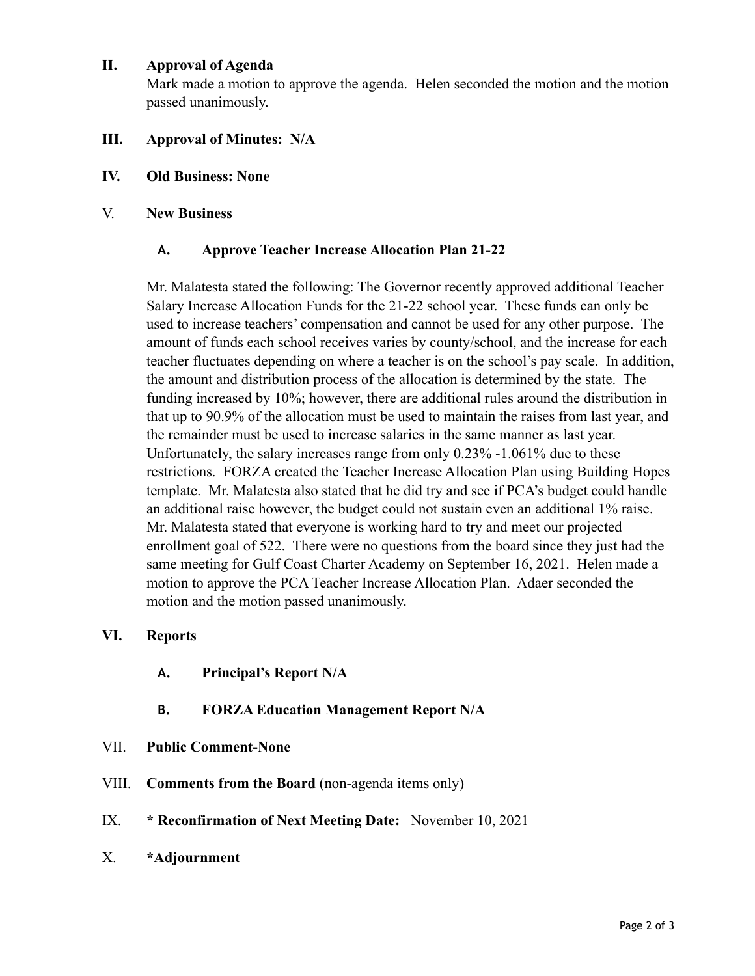#### **II. Approval of Agenda**

Mark made a motion to approve the agenda. Helen seconded the motion and the motion passed unanimously.

- **III. Approval of Minutes: N/A**
- **IV. Old Business: None**
- V. **New Business**

#### **A. Approve Teacher Increase Allocation Plan 21-22**

Mr. Malatesta stated the following: The Governor recently approved additional Teacher Salary Increase Allocation Funds for the 21-22 school year. These funds can only be used to increase teachers' compensation and cannot be used for any other purpose. The amount of funds each school receives varies by county/school, and the increase for each teacher fluctuates depending on where a teacher is on the school's pay scale. In addition, the amount and distribution process of the allocation is determined by the state. The funding increased by 10%; however, there are additional rules around the distribution in that up to 90.9% of the allocation must be used to maintain the raises from last year, and the remainder must be used to increase salaries in the same manner as last year. Unfortunately, the salary increases range from only 0.23% -1.061% due to these restrictions. FORZA created the Teacher Increase Allocation Plan using Building Hopes template. Mr. Malatesta also stated that he did try and see if PCA's budget could handle an additional raise however, the budget could not sustain even an additional 1% raise. Mr. Malatesta stated that everyone is working hard to try and meet our projected enrollment goal of 522. There were no questions from the board since they just had the same meeting for Gulf Coast Charter Academy on September 16, 2021. Helen made a motion to approve the PCA Teacher Increase Allocation Plan. Adaer seconded the motion and the motion passed unanimously.

#### **VI. Reports**

**A. Principal's Report N/A**

#### **B. FORZA Education Management Report N/A**

- VII. **Public Comment-None**
- VIII. **Comments from the Board** (non-agenda items only)
- IX. **\* Reconfirmation of Next Meeting Date:** November 10, 2021
- X. **\*Adjournment**